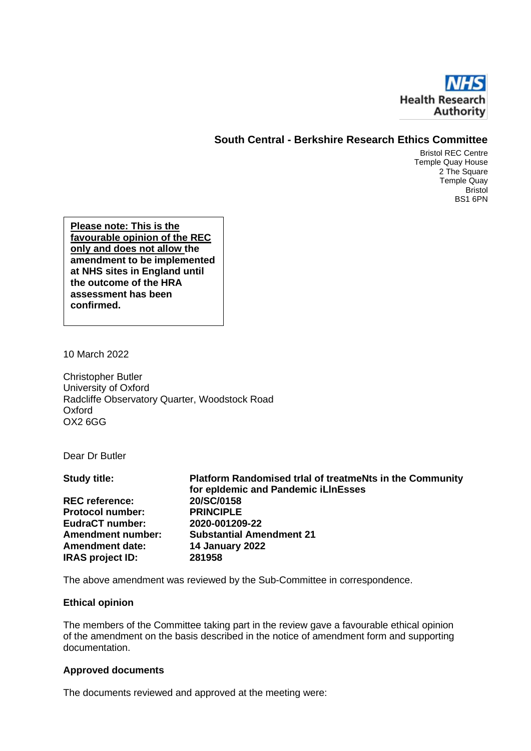

#### **South Central - Berkshire Research Ethics Committee**

Bristol REC Centre Temple Quay House 2 The Square Temple Quay Bristol BS1 6PN

**Please note: This is the favourable opinion of the REC only and does not allow the amendment to be implemented at NHS sites in England until the outcome of the HRA assessment has been confirmed.** 

10 March 2022

Christopher Butler University of Oxford Radcliffe Observatory Quarter, Woodstock Road Oxford OX2 6GG

Dear Dr Butler

**Study title: Platform Randomised trIal of treatmeNts in the Community for epIdemic and Pandemic iLlnEsses REC reference: 20/SC/0158 Protocol number: PRINCIPLE EudraCT number: 2020-001209-22 Amendment number: Substantial Amendment 21 Amendment date: 14 January 2022 IRAS project ID: 281958**

The above amendment was reviewed by the Sub-Committee in correspondence.

#### **Ethical opinion**

The members of the Committee taking part in the review gave a favourable ethical opinion of the amendment on the basis described in the notice of amendment form and supporting documentation.

#### **Approved documents**

The documents reviewed and approved at the meeting were: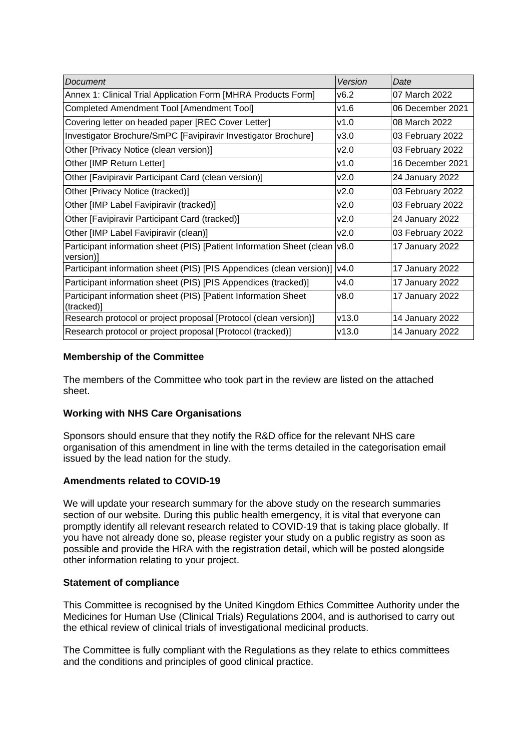| <b>Document</b>                                                                           | Version | Date             |
|-------------------------------------------------------------------------------------------|---------|------------------|
| Annex 1: Clinical Trial Application Form [MHRA Products Form]                             | v6.2    | 07 March 2022    |
| Completed Amendment Tool [Amendment Tool]                                                 | v1.6    | 06 December 2021 |
| Covering letter on headed paper [REC Cover Letter]                                        | v1.0    | 08 March 2022    |
| Investigator Brochure/SmPC [Favipiravir Investigator Brochure]                            | v3.0    | 03 February 2022 |
| Other [Privacy Notice (clean version)]                                                    | v2.0    | 03 February 2022 |
| Other [IMP Return Letter]                                                                 | v1.0    | 16 December 2021 |
| Other [Favipiravir Participant Card (clean version)]                                      | v2.0    | 24 January 2022  |
| Other [Privacy Notice (tracked)]                                                          | v2.0    | 03 February 2022 |
| Other [IMP Label Favipiravir (tracked)]                                                   | v2.0    | 03 February 2022 |
| Other [Favipiravir Participant Card (tracked)]                                            | v2.0    | 24 January 2022  |
| Other [IMP Label Favipiravir (clean)]                                                     | v2.0    | 03 February 2022 |
| Participant information sheet (PIS) [Patient Information Sheet (clean   v8.0<br>version)] |         | 17 January 2022  |
| Participant information sheet (PIS) [PIS Appendices (clean version)]                      | v4.0    | 17 January 2022  |
| Participant information sheet (PIS) [PIS Appendices (tracked)]                            | v4.0    | 17 January 2022  |
| Participant information sheet (PIS) [Patient Information Sheet<br>(tracked)]              | v8.0    | 17 January 2022  |
| Research protocol or project proposal [Protocol (clean version)]                          | v13.0   | 14 January 2022  |
| Research protocol or project proposal [Protocol (tracked)]                                | v13.0   | 14 January 2022  |

# **Membership of the Committee**

The members of the Committee who took part in the review are listed on the attached sheet.

# **Working with NHS Care Organisations**

Sponsors should ensure that they notify the R&D office for the relevant NHS care organisation of this amendment in line with the terms detailed in the categorisation email issued by the lead nation for the study.

# **Amendments related to COVID-19**

We will update your research summary for the above study on the research summaries section of our website. During this public health emergency, it is vital that everyone can promptly identify all relevant research related to COVID-19 that is taking place globally. If you have not already done so, please register your study on a public registry as soon as possible and provide the HRA with the registration detail, which will be posted alongside other information relating to your project.

# **Statement of compliance**

This Committee is recognised by the United Kingdom Ethics Committee Authority under the Medicines for Human Use (Clinical Trials) Regulations 2004, and is authorised to carry out the ethical review of clinical trials of investigational medicinal products.

The Committee is fully compliant with the Regulations as they relate to ethics committees and the conditions and principles of good clinical practice.